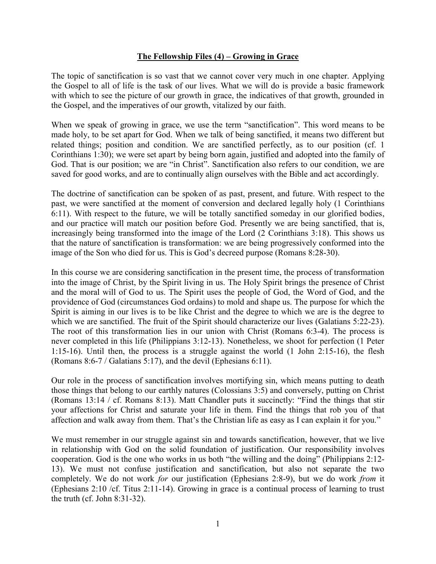## **The Fellowship Files (4) – Growing in Grace**

The topic of sanctification is so vast that we cannot cover very much in one chapter. Applying the Gospel to all of life is the task of our lives. What we will do is provide a basic framework with which to see the picture of our growth in grace, the indicatives of that growth, grounded in the Gospel, and the imperatives of our growth, vitalized by our faith.

When we speak of growing in grace, we use the term "sanctification". This word means to be made holy, to be set apart for God. When we talk of being sanctified, it means two different but related things; position and condition. We are sanctified perfectly, as to our position (cf. 1 Corinthians 1:30); we were set apart by being born again, justified and adopted into the family of God. That is our position; we are "in Christ". Sanctification also refers to our condition, we are saved for good works, and are to continually align ourselves with the Bible and act accordingly.

The doctrine of sanctification can be spoken of as past, present, and future. With respect to the past, we were sanctified at the moment of conversion and declared legally holy (1 Corinthians 6:11). With respect to the future, we will be totally sanctified someday in our glorified bodies, and our practice will match our position before God. Presently we are being sanctified, that is, increasingly being transformed into the image of the Lord (2 Corinthians 3:18). This shows us that the nature of sanctification is transformation: we are being progressively conformed into the image of the Son who died for us. This is God's decreed purpose (Romans 8:28-30).

In this course we are considering sanctification in the present time, the process of transformation into the image of Christ, by the Spirit living in us. The Holy Spirit brings the presence of Christ and the moral will of God to us. The Spirit uses the people of God, the Word of God, and the providence of God (circumstances God ordains) to mold and shape us. The purpose for which the Spirit is aiming in our lives is to be like Christ and the degree to which we are is the degree to which we are sanctified. The fruit of the Spirit should characterize our lives (Galatians 5:22-23). The root of this transformation lies in our union with Christ (Romans 6:3-4). The process is never completed in this life (Philippians 3:12-13). Nonetheless, we shoot for perfection (1 Peter 1:15-16). Until then, the process is a struggle against the world (1 John 2:15-16), the flesh (Romans 8:6-7 / Galatians 5:17), and the devil (Ephesians 6:11).

Our role in the process of sanctification involves mortifying sin, which means putting to death those things that belong to our earthly natures (Colossians 3:5) and conversely, putting on Christ (Romans 13:14 / cf. Romans 8:13). Matt Chandler puts it succinctly: "Find the things that stir your affections for Christ and saturate your life in them. Find the things that rob you of that affection and walk away from them. That's the Christian life as easy as I can explain it for you."

We must remember in our struggle against sin and towards sanctification, however, that we live in relationship with God on the solid foundation of justification. Our responsibility involves cooperation. God is the one who works in us both "the willing and the doing" (Philippians 2:12- 13). We must not confuse justification and sanctification, but also not separate the two completely. We do not work *for* our justification (Ephesians 2:8-9), but we do work *from* it (Ephesians 2:10 /cf. Titus 2:11-14). Growing in grace is a continual process of learning to trust the truth (cf. John 8:31-32).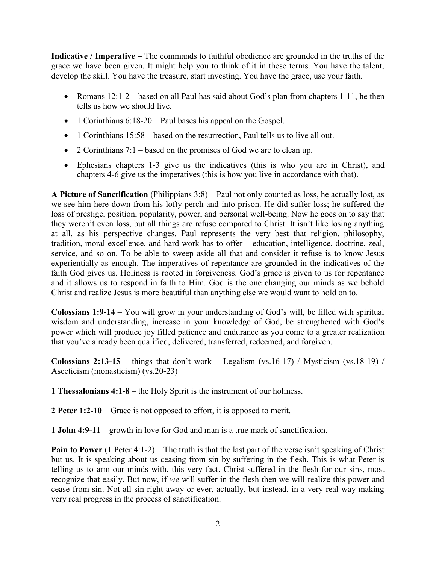**Indicative / Imperative –** The commands to faithful obedience are grounded in the truths of the grace we have been given. It might help you to think of it in these terms. You have the talent, develop the skill. You have the treasure, start investing. You have the grace, use your faith.

- Romans  $12:1-2$  based on all Paul has said about God's plan from chapters  $1-11$ , he then tells us how we should live.
- 1 Corinthians  $6:18-20$  Paul bases his appeal on the Gospel.
- 1 Corinthians 15:58 based on the resurrection, Paul tells us to live all out.
- 2 Corinthians  $7:1$  based on the promises of God we are to clean up.
- Ephesians chapters 1-3 give us the indicatives (this is who you are in Christ), and chapters 4-6 give us the imperatives (this is how you live in accordance with that).

**A Picture of Sanctification** (Philippians 3:8) – Paul not only counted as loss, he actually lost, as we see him here down from his lofty perch and into prison. He did suffer loss; he suffered the loss of prestige, position, popularity, power, and personal well-being. Now he goes on to say that they weren't even loss, but all things are refuse compared to Christ. It isn't like losing anything at all, as his perspective changes. Paul represents the very best that religion, philosophy, tradition, moral excellence, and hard work has to offer – education, intelligence, doctrine, zeal, service, and so on. To be able to sweep aside all that and consider it refuse is to know Jesus experientially as enough. The imperatives of repentance are grounded in the indicatives of the faith God gives us. Holiness is rooted in forgiveness. God's grace is given to us for repentance and it allows us to respond in faith to Him. God is the one changing our minds as we behold Christ and realize Jesus is more beautiful than anything else we would want to hold on to.

**Colossians 1:9-14** – You will grow in your understanding of God's will, be filled with spiritual wisdom and understanding, increase in your knowledge of God, be strengthened with God's power which will produce joy filled patience and endurance as you come to a greater realization that you've already been qualified, delivered, transferred, redeemed, and forgiven.

**Colossians 2:13-15** – things that don't work – Legalism (vs. 16-17) / Mysticism (vs. 18-19) / Asceticism (monasticism) (vs.20-23)

**1 Thessalonians 4:1-8** – the Holy Spirit is the instrument of our holiness.

**2 Peter 1:2-10** – Grace is not opposed to effort, it is opposed to merit.

**1 John 4:9-11** – growth in love for God and man is a true mark of sanctification.

**Pain to Power** (1 Peter 4:1-2) – The truth is that the last part of the verse isn't speaking of Christ but us. It is speaking about us ceasing from sin by suffering in the flesh. This is what Peter is telling us to arm our minds with, this very fact. Christ suffered in the flesh for our sins, most recognize that easily. But now, if *we* will suffer in the flesh then we will realize this power and cease from sin. Not all sin right away or ever, actually, but instead, in a very real way making very real progress in the process of sanctification.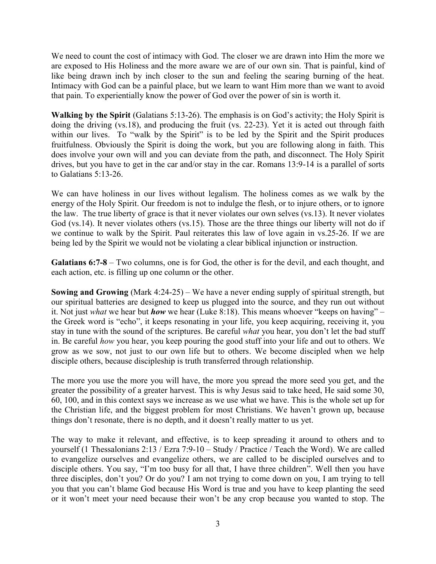We need to count the cost of intimacy with God. The closer we are drawn into Him the more we are exposed to His Holiness and the more aware we are of our own sin. That is painful, kind of like being drawn inch by inch closer to the sun and feeling the searing burning of the heat. Intimacy with God can be a painful place, but we learn to want Him more than we want to avoid that pain. To experientially know the power of God over the power of sin is worth it.

**Walking by the Spirit** (Galatians 5:13-26). The emphasis is on God's activity; the Holy Spirit is doing the driving (vs.18), and producing the fruit (vs. 22-23). Yet it is acted out through faith within our lives. To "walk by the Spirit" is to be led by the Spirit and the Spirit produces fruitfulness. Obviously the Spirit is doing the work, but you are following along in faith. This does involve your own will and you can deviate from the path, and disconnect. The Holy Spirit drives, but you have to get in the car and/or stay in the car. Romans 13:9-14 is a parallel of sorts to Galatians 5:13-26.

We can have holiness in our lives without legalism. The holiness comes as we walk by the energy of the Holy Spirit. Our freedom is not to indulge the flesh, or to injure others, or to ignore the law. The true liberty of grace is that it never violates our own selves (vs.13). It never violates God (vs.14). It never violates others (vs.15). Those are the three things our liberty will not do if we continue to walk by the Spirit. Paul reiterates this law of love again in vs.25-26. If we are being led by the Spirit we would not be violating a clear biblical injunction or instruction.

**Galatians 6:7-8** – Two columns, one is for God, the other is for the devil, and each thought, and each action, etc. is filling up one column or the other.

**Sowing and Growing** (Mark 4:24-25) – We have a never ending supply of spiritual strength, but our spiritual batteries are designed to keep us plugged into the source, and they run out without it. Not just *what* we hear but *how* we hear (Luke 8:18). This means whoever "keeps on having" – the Greek word is "echo", it keeps resonating in your life, you keep acquiring, receiving it, you stay in tune with the sound of the scriptures. Be careful *what* you hear, you don't let the bad stuff in. Be careful *how* you hear, you keep pouring the good stuff into your life and out to others. We grow as we sow, not just to our own life but to others. We become discipled when we help disciple others, because discipleship is truth transferred through relationship.

The more you use the more you will have, the more you spread the more seed you get, and the greater the possibility of a greater harvest. This is why Jesus said to take heed, He said some 30, 60, 100, and in this context says we increase as we use what we have. This is the whole set up for the Christian life, and the biggest problem for most Christians. We haven't grown up, because things don't resonate, there is no depth, and it doesn't really matter to us yet.

The way to make it relevant, and effective, is to keep spreading it around to others and to yourself (1 Thessalonians 2:13 / Ezra 7:9-10 – Study / Practice / Teach the Word). We are called to evangelize ourselves and evangelize others, we are called to be discipled ourselves and to disciple others. You say, "I'm too busy for all that, I have three children". Well then you have three disciples, don't you? Or do you? I am not trying to come down on you, I am trying to tell you that you can't blame God because His Word is true and you have to keep planting the seed or it won't meet your need because their won't be any crop because you wanted to stop. The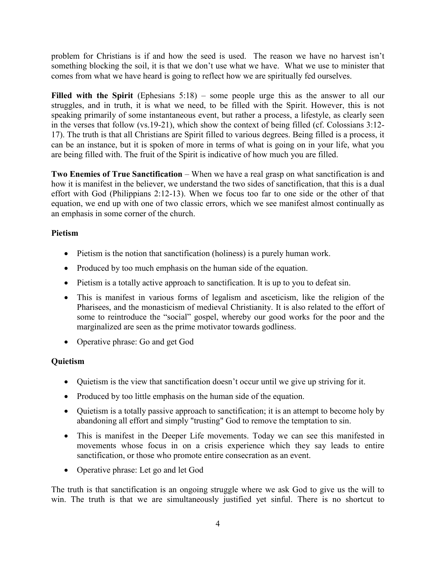problem for Christians is if and how the seed is used. The reason we have no harvest isn't something blocking the soil, it is that we don't use what we have. What we use to minister that comes from what we have heard is going to reflect how we are spiritually fed ourselves.

Filled with the Spirit (Ephesians 5:18) – some people urge this as the answer to all our struggles, and in truth, it is what we need, to be filled with the Spirit. However, this is not speaking primarily of some instantaneous event, but rather a process, a lifestyle, as clearly seen in the verses that follow (vs.19-21), which show the context of being filled (cf. Colossians 3:12- 17). The truth is that all Christians are Spirit filled to various degrees. Being filled is a process, it can be an instance, but it is spoken of more in terms of what is going on in your life, what you are being filled with. The fruit of the Spirit is indicative of how much you are filled.

**Two Enemies of True Sanctification** – When we have a real grasp on what sanctification is and how it is manifest in the believer, we understand the two sides of sanctification, that this is a dual effort with God (Philippians 2:12-13). When we focus too far to one side or the other of that equation, we end up with one of two classic errors, which we see manifest almost continually as an emphasis in some corner of the church.

## **Pietism**

- Pietism is the notion that sanctification (holiness) is a purely human work.
- Produced by too much emphasis on the human side of the equation.
- Pietism is a totally active approach to sanctification. It is up to you to defeat sin.
- This is manifest in various forms of legalism and asceticism, like the religion of the Pharisees, and the monasticism of medieval Christianity. It is also related to the effort of some to reintroduce the "social" gospel, whereby our good works for the poor and the marginalized are seen as the prime motivator towards godliness.
- Operative phrase: Go and get God

## **Quietism**

- Quietism is the view that sanctification doesn't occur until we give up striving for it.
- Produced by too little emphasis on the human side of the equation.
- Quietism is a totally passive approach to sanctification; it is an attempt to become holy by abandoning all effort and simply "trusting" God to remove the temptation to sin.
- This is manifest in the Deeper Life movements. Today we can see this manifested in movements whose focus in on a crisis experience which they say leads to entire sanctification, or those who promote entire consecration as an event.
- Operative phrase: Let go and let God

The truth is that sanctification is an ongoing struggle where we ask God to give us the will to win. The truth is that we are simultaneously justified yet sinful. There is no shortcut to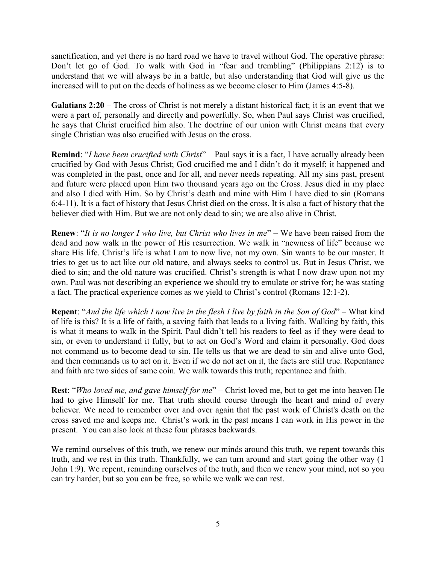sanctification, and yet there is no hard road we have to travel without God. The operative phrase: Don't let go of God. To walk with God in "fear and trembling" (Philippians 2:12) is to understand that we will always be in a battle, but also understanding that God will give us the increased will to put on the deeds of holiness as we become closer to Him (James 4:5-8).

**Galatians 2:20** – The cross of Christ is not merely a distant historical fact; it is an event that we were a part of, personally and directly and powerfully. So, when Paul says Christ was crucified, he says that Christ crucified him also. The doctrine of our union with Christ means that every single Christian was also crucified with Jesus on the cross.

**Remind**: "*I have been crucified with Christ*" – Paul says it is a fact, I have actually already been crucified by God with Jesus Christ; God crucified me and I didn't do it myself; it happened and was completed in the past, once and for all, and never needs repeating. All my sins past, present and future were placed upon Him two thousand years ago on the Cross. Jesus died in my place and also I died with Him. So by Christ's death and mine with Him I have died to sin (Romans 6:4-11). It is a fact of history that Jesus Christ died on the cross. It is also a fact of history that the believer died with Him. But we are not only dead to sin; we are also alive in Christ.

**Renew**: "*It is no longer I who live, but Christ who lives in me*" – We have been raised from the dead and now walk in the power of His resurrection. We walk in "newness of life" because we share His life. Christ's life is what I am to now live, not my own. Sin wants to be our master. It tries to get us to act like our old nature, and always seeks to control us. But in Jesus Christ, we died to sin; and the old nature was crucified. Christ's strength is what I now draw upon not my own. Paul was not describing an experience we should try to emulate or strive for; he was stating a fact. The practical experience comes as we yield to Christ's control (Romans 12:1-2).

**Repent**: "*And the life which I now live in the flesh I live by faith in the Son of God*" – What kind of life is this? It is a life of faith, a saving faith that leads to a living faith. Walking by faith, this is what it means to walk in the Spirit. Paul didn't tell his readers to feel as if they were dead to sin, or even to understand it fully, but to act on God's Word and claim it personally. God does not command us to become dead to sin. He tells us that we are dead to sin and alive unto God, and then commands us to act on it. Even if we do not act on it, the facts are still true. Repentance and faith are two sides of same coin. We walk towards this truth; repentance and faith.

**Rest**: "*Who loved me, and gave himself for me*" – Christ loved me, but to get me into heaven He had to give Himself for me. That truth should course through the heart and mind of every believer. We need to remember over and over again that the past work of Christ's death on the cross saved me and keeps me. Christ's work in the past means I can work in His power in the present. You can also look at these four phrases backwards.

We remind ourselves of this truth, we renew our minds around this truth, we repent towards this truth, and we rest in this truth. Thankfully, we can turn around and start going the other way (1 John 1:9). We repent, reminding ourselves of the truth, and then we renew your mind, not so you can try harder, but so you can be free, so while we walk we can rest.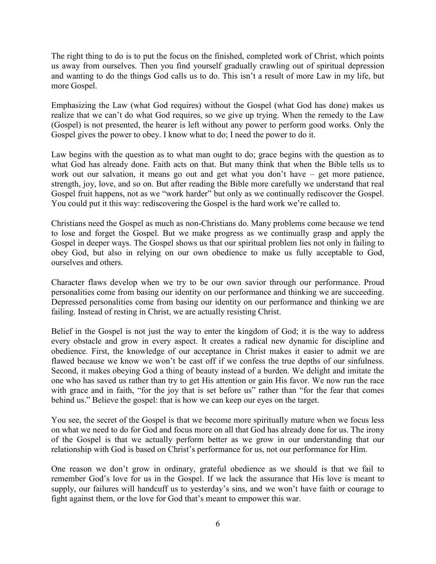The right thing to do is to put the focus on the finished, completed work of Christ, which points us away from ourselves. Then you find yourself gradually crawling out of spiritual depression and wanting to do the things God calls us to do. This isn't a result of more Law in my life, but more Gospel.

Emphasizing the Law (what God requires) without the Gospel (what God has done) makes us realize that we can't do what God requires, so we give up trying. When the remedy to the Law (Gospel) is not presented, the hearer is left without any power to perform good works. Only the Gospel gives the power to obey. I know what to do; I need the power to do it.

Law begins with the question as to what man ought to do; grace begins with the question as to what God has already done. Faith acts on that. But many think that when the Bible tells us to work out our salvation, it means go out and get what you don't have – get more patience, strength, joy, love, and so on. But after reading the Bible more carefully we understand that real Gospel fruit happens, not as we "work harder" but only as we continually rediscover the Gospel. You could put it this way: rediscovering the Gospel is the hard work we're called to.

Christians need the Gospel as much as non-Christians do. Many problems come because we tend to lose and forget the Gospel. But we make progress as we continually grasp and apply the Gospel in deeper ways. The Gospel shows us that our spiritual problem lies not only in failing to obey God, but also in relying on our own obedience to make us fully acceptable to God, ourselves and others.

Character flaws develop when we try to be our own savior through our performance. Proud personalities come from basing our identity on our performance and thinking we are succeeding. Depressed personalities come from basing our identity on our performance and thinking we are failing. Instead of resting in Christ, we are actually resisting Christ.

Belief in the Gospel is not just the way to enter the kingdom of God; it is the way to address every obstacle and grow in every aspect. It creates a radical new dynamic for discipline and obedience. First, the knowledge of our acceptance in Christ makes it easier to admit we are flawed because we know we won't be cast off if we confess the true depths of our sinfulness. Second, it makes obeying God a thing of beauty instead of a burden. We delight and imitate the one who has saved us rather than try to get His attention or gain His favor. We now run the race with grace and in faith, "for the joy that is set before us" rather than "for the fear that comes behind us." Believe the gospel: that is how we can keep our eyes on the target.

You see, the secret of the Gospel is that we become more spiritually mature when we focus less on what we need to do for God and focus more on all that God has already done for us. The irony of the Gospel is that we actually perform better as we grow in our understanding that our relationship with God is based on Christ's performance for us, not our performance for Him.

One reason we don't grow in ordinary, grateful obedience as we should is that we fail to remember God's love for us in the Gospel. If we lack the assurance that His love is meant to supply, our failures will handcuff us to yesterday's sins, and we won't have faith or courage to fight against them, or the love for God that's meant to empower this war.